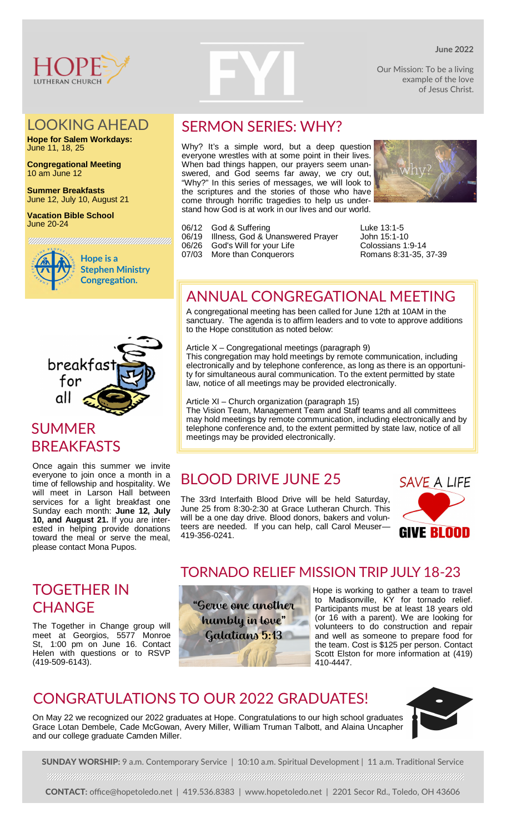

### LOOKING AHEAD

**Hope for Salem Workdays:** June 11, 18, 25

**Congregational Meeting** 10 am June 12

**Summer Breakfasts** June 12, July 10, August 21

**Vacation Bible School** June 20-24



**Hope is a Stephen Ministry Congregation.** 

an an an amach an chomhair an chomhair an chomhair an chomhair an chomhair an chomhair an chomhair an chomhair



## SUMMER BREAKFASTS

Once again this summer we invite everyone to join once a month in a time of fellowship and hospitality. We will meet in Larson Hall between services for a light breakfast one Sunday each month: **June 12, July 10, and August 21.** If you are interested in helping provide donations toward the meal or serve the meal, please contact Mona Pupos.

### TOGETHER IN **CHANGE**

The Together in Change group will meet at Georgios, 5577 Monroe St, 1:00 pm on June 16. Contact Helen with questions or to RSVP (419-509-6143).

# SERMON SERIES: WHY?

Why? It's a simple word, but a deep question everyone wrestles with at some point in their lives. When bad things happen, our prayers seem unanswered, and God seems far away, we cry out, "Why?" In this series of messages, we will look to the scriptures and the stories of those who have come through horrific tragedies to help us understand how God is at work in our lives and our world.

- 06/19 Illness, God & Unanswered Prayer John 15:1-10
- 06/26 God's Will for your Life Colossians 1:9-14
- 



06/12 God & Suffering University Luke 13:1-5<br>06/19 Illness, God & Unanswered Prayer Uohn 15:1-10 07/03 More than Conquerors Romans 8:31-35, 37-39

## ANNUAL CONGREGATIONAL MEETING

A congregational meeting has been called for June 12th at 10AM in the sanctuary. The agenda is to affirm leaders and to vote to approve additions to the Hope constitution as noted below:

Article X – Congregational meetings (paragraph 9)

This congregation may hold meetings by remote communication, including electronically and by telephone conference, as long as there is an opportunity for simultaneous aural communication. To the extent permitted by state law, notice of all meetings may be provided electronically.

Article XI – Church organization (paragraph 15)

The Vision Team, Management Team and Staff teams and all committees may hold meetings by remote communication, including electronically and by telephone conference and, to the extent permitted by state law, notice of all meetings may be provided electronically.

## BLOOD DRIVE JUNE 25

The 33rd Interfaith Blood Drive will be held Saturday, June 25 from 8:30-2:30 at Grace Lutheran Church. This will be a one day drive. Blood donors, bakers and volunteers are needed. If you can help, call Carol Meuser— 419-356-0241.



### TORNADO RELIEF MISSION TRIP JULY 18-23



Hope is working to gather a team to travel to Madisonville, KY for tornado relief. Participants must be at least 18 years old (or 16 with a parent). We are looking for volunteers to do construction and repair and well as someone to prepare food for the team. Cost is \$125 per person. Contact Scott Elston for more information at (419) 410-4447.

## CONGRATULATIONS TO OUR 2022 GRADUATES!

On May 22 we recognized our 2022 graduates at Hope. Congratulations to our high school graduates Grace Lotan Dembele, Cade McGowan, Avery Miller, William Truman Talbott, and Alaina Uncapher and our college graduate Camden Miller.



SUNDAY WORSHIP: 9 a.m. Contemporary Service | 10:10 a.m. Spiritual Development | 11 a.m. Traditional Service 

CONTACT**:** office@hopetoledo.net | 419.536.8383 | www.hopetoledo.net | 2201 Secor Rd., Toledo, OH 43606

### **June 2022**

Our Mission: To be a living example of the love of Jesus Christ.